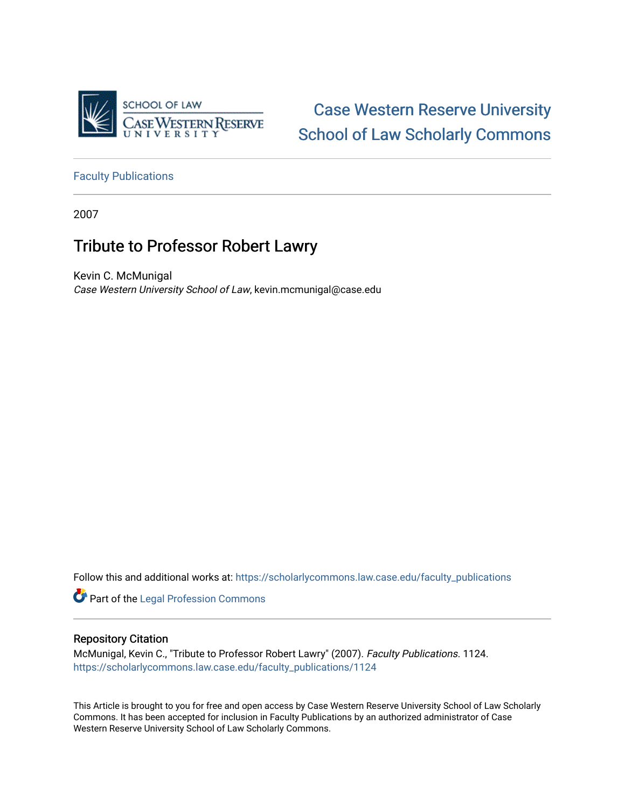

[Case Western Reserve University](https://scholarlycommons.law.case.edu/)  [School of Law Scholarly Commons](https://scholarlycommons.law.case.edu/) 

[Faculty Publications](https://scholarlycommons.law.case.edu/faculty_publications)

2007

## Tribute to Professor Robert Lawry

Kevin C. McMunigal Case Western University School of Law, kevin.mcmunigal@case.edu

Follow this and additional works at: [https://scholarlycommons.law.case.edu/faculty\\_publications](https://scholarlycommons.law.case.edu/faculty_publications?utm_source=scholarlycommons.law.case.edu%2Ffaculty_publications%2F1124&utm_medium=PDF&utm_campaign=PDFCoverPages)

**Part of the [Legal Profession Commons](http://network.bepress.com/hgg/discipline/1075?utm_source=scholarlycommons.law.case.edu%2Ffaculty_publications%2F1124&utm_medium=PDF&utm_campaign=PDFCoverPages)** 

## Repository Citation

McMunigal, Kevin C., "Tribute to Professor Robert Lawry" (2007). Faculty Publications. 1124. [https://scholarlycommons.law.case.edu/faculty\\_publications/1124](https://scholarlycommons.law.case.edu/faculty_publications/1124?utm_source=scholarlycommons.law.case.edu%2Ffaculty_publications%2F1124&utm_medium=PDF&utm_campaign=PDFCoverPages) 

This Article is brought to you for free and open access by Case Western Reserve University School of Law Scholarly Commons. It has been accepted for inclusion in Faculty Publications by an authorized administrator of Case Western Reserve University School of Law Scholarly Commons.